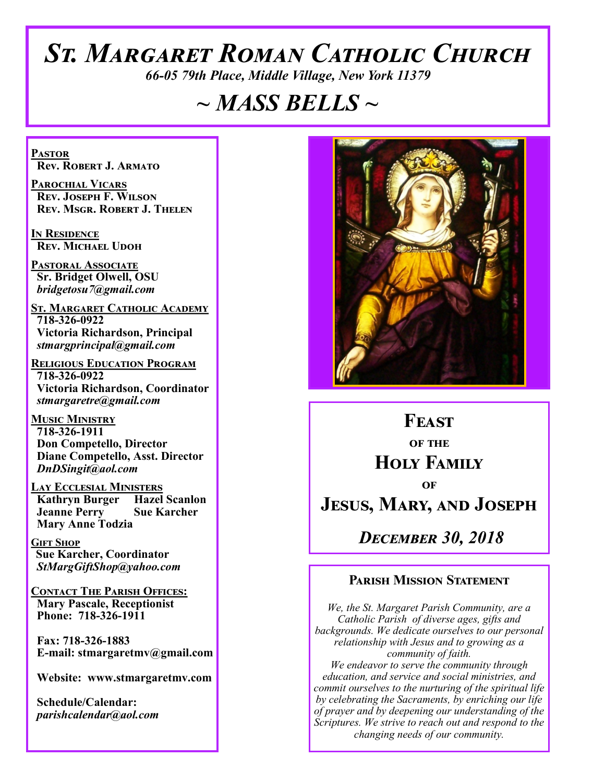# *St. Margaret Roman Catholic Church*

*66-05 79th Place, Middle Village, New York 11379*

# *~ MASS BELLS ~*

**Pastor Rev. Robert J. Armato**

**Parochial Vicars Rev. Joseph F. Wilson Rev. Msgr. Robert J. Thelen**

**In Residence Rev. Michael Udoh**

**Pastoral Associate Sr. Bridget Olwell, OSU**  *bridgetosu7@gmail.com*

**St. Margaret Catholic Academy 718-326-0922 Victoria Richardson, Principal**  *stmargprincipal@gmail.com*

**Religious Education Program 718-326-0922 Victoria Richardson, Coordinator** *stmargaretre@gmail.com*

**Music Ministry 718-326-1911 Don Competello, Director Diane Competello, Asst. Director** *DnDSingit@aol.com*

**Lay Ecclesial Ministers Kathryn Burger Jeanne Perry Sue Karcher Mary Anne Todzia**

**Gift Shop Sue Karcher, Coordinator** *StMargGiftShop@yahoo.com*

**Contact The Parish Offices: Mary Pascale, Receptionist Phone: 718-326-1911** 

 **Fax: 718-326-1883 E-mail: stmargaretmv@gmail.com**

 **Website: www.stmargaretmv.com**

 **Schedule/Calendar:** *parishcalendar@aol.com* 



**Feast of the Holy Family of Jesus, Mary, and Joseph**

*December 30, 2018* 

#### **Parish Mission Statement**

*We, the St. Margaret Parish Community, are a Catholic Parish of diverse ages, gifts and backgrounds. We dedicate ourselves to our personal relationship with Jesus and to growing as a community of faith. We endeavor to serve the community through education, and service and social ministries, and commit ourselves to the nurturing of the spiritual life by celebrating the Sacraments, by enriching our life of prayer and by deepening our understanding of the Scriptures. We strive to reach out and respond to the* 

*changing needs of our community.*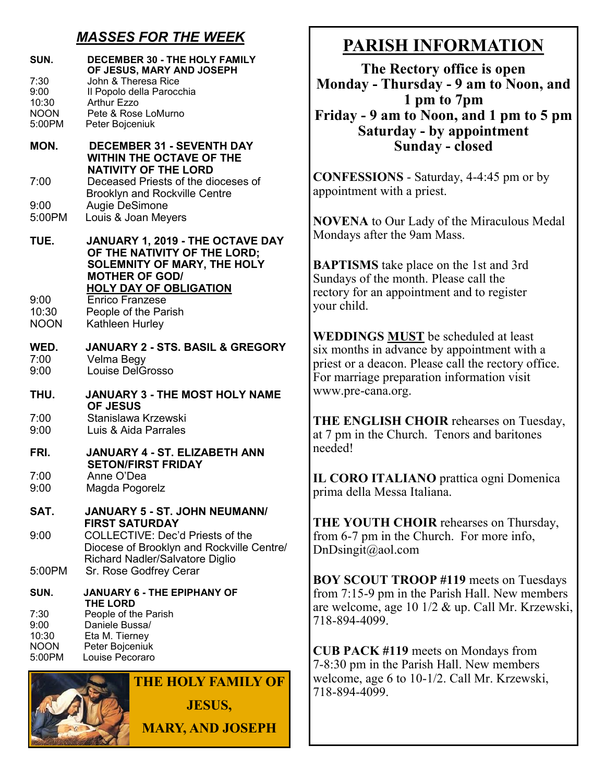## *MASSES FOR THE WEEK*

| SUN.                                           | <b>DECEMBER 30 - THE HOLY FAMILY</b><br>OF JESUS, MARY AND JOSEPH                                                                                                                          |
|------------------------------------------------|--------------------------------------------------------------------------------------------------------------------------------------------------------------------------------------------|
| 7:30<br>9:00<br>10:30<br><b>NOON</b><br>5:00PM | John & Theresa Rice<br>Il Popolo della Parocchia<br>Arthur Ezzo<br>Pete & Rose LoMurno<br>Peter Bojceniuk                                                                                  |
| MON.                                           | <b>DECEMBER 31 - SEVENTH DAY</b><br><b>WITHIN THE OCTAVE OF THE</b>                                                                                                                        |
| 7:00                                           | <b>NATIVITY OF THE LORD</b><br>Deceased Priests of the dioceses of<br><b>Brooklyn and Rockville Centre</b>                                                                                 |
| 9:00<br>5:00PM                                 | Augie DeSimone<br>Louis & Joan Meyers                                                                                                                                                      |
| TUE.<br>9:00                                   | JANUARY 1, 2019 - THE OCTAVE DAY<br>OF THE NATIVITY OF THE LORD;<br><b>SOLEMNITY OF MARY, THE HOLY</b><br><b>MOTHER OF GOD/</b><br><b>HOLY DAY OF OBLIGATION</b><br><b>Enrico Franzese</b> |
| 10:30<br><b>NOON</b>                           | People of the Parish<br>Kathleen Hurley                                                                                                                                                    |
| WED.<br>7:00<br>9:00                           | <b>JANUARY 2 - STS. BASIL &amp; GREGORY</b><br>Velma Begy<br><b>Louise DelGrosso</b>                                                                                                       |
| THU.                                           | <b>JANUARY 3 - THE MOST HOLY NAME</b><br><b>OF JESUS</b>                                                                                                                                   |
| 7:00<br>9:00                                   | Stanislawa Krzewski<br>Luis & Aida Parrales                                                                                                                                                |
| FRI.                                           | <b>JANUARY 4 - ST. ELIZABETH ANN</b><br><b>SETON/FIRST FRIDAY</b>                                                                                                                          |
| 7:00<br>9:00                                   | Anne O'Dea<br>Magda Pogorelz                                                                                                                                                               |
| SAT.                                           | JANUARY 5 - ST. JOHN NEUMANN/<br><b>FIRST SATURDAY</b>                                                                                                                                     |
| 9:00                                           | <b>COLLECTIVE: Dec'd Priests of the</b><br>Diocese of Brooklyn and Rockville Centre/<br>Richard Nadler/Salvatore Diglio                                                                    |
| 5:00PM                                         | Sr. Rose Godfrey Cerar                                                                                                                                                                     |
| SUN.                                           | <b>JANUARY 6 - THE EPIPHANY OF</b><br><b>THE LORD</b>                                                                                                                                      |
| 7:30<br>9:00<br>10:30<br><b>NOON</b><br>5:00PM | People of the Parish<br>Daniele Bussa/<br>Eta M. Tierney<br>Peter Bojceniuk<br>Louise Pecoraro                                                                                             |
|                                                | <b>THE HOLY FAMILY OF</b>                                                                                                                                                                  |

**JESUS,**

**MARY, AND JOSEPH**

# **PARISH INFORMATION**

**The Rectory office is open Monday - Thursday - 9 am to Noon, and 1 pm to 7pm Friday - 9 am to Noon, and 1 pm to 5 pm Saturday - by appointment Sunday - closed**

**CONFESSIONS** - Saturday, 4-4:45 pm or by appointment with a priest.

**NOVENA** to Our Lady of the Miraculous Medal Mondays after the 9am Mass.

**BAPTISMS** take place on the 1st and 3rd Sundays of the month. Please call the rectory for an appointment and to register your child.

**WEDDINGS MUST** be scheduled at least six months in advance by appointment with a priest or a deacon. Please call the rectory office. For marriage preparation information visit www.pre-cana.org.

**THE ENGLISH CHOIR** rehearses on Tuesday, at 7 pm in the Church. Tenors and baritones needed!

**IL CORO ITALIANO** prattica ogni Domenica prima della Messa Italiana.

**THE YOUTH CHOIR** rehearses on Thursday, from 6-7 pm in the Church. For more info, DnDsingit@aol.com

**BOY SCOUT TROOP #119** meets on Tuesdays from 7:15-9 pm in the Parish Hall. New members are welcome, age 10 1/2 & up. Call Mr. Krzewski, 718-894-4099.

**CUB PACK #119** meets on Mondays from 7-8:30 pm in the Parish Hall. New members welcome, age 6 to 10-1/2. Call Mr. Krzewski, 718-894-4099.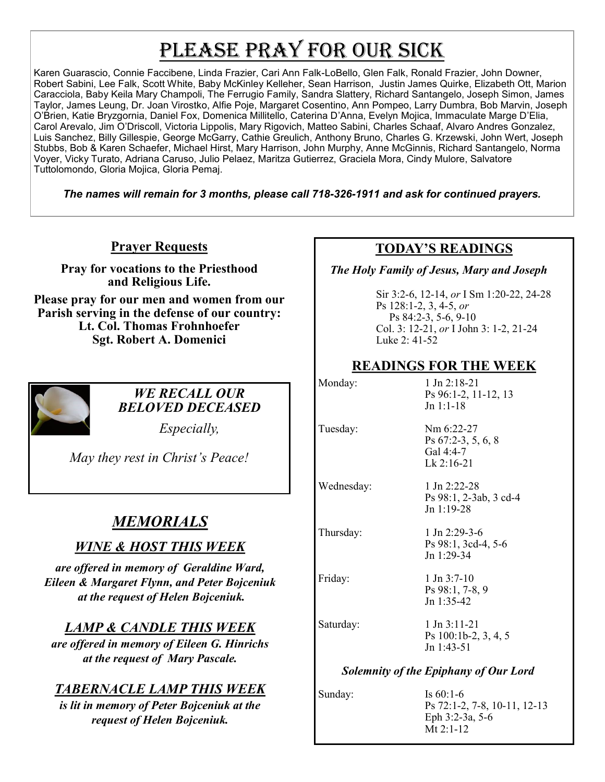# PLEASE PRAY FOR OUR SICK

Karen Guarascio, Connie Faccibene, Linda Frazier, Cari Ann Falk-LoBello, Glen Falk, Ronald Frazier, John Downer, Robert Sabini, Lee Falk, Scott White, Baby McKinley Kelleher, Sean Harrison, Justin James Quirke, Elizabeth Ott, Marion Caracciola, Baby Keila Mary Champoli, The Ferrugio Family, Sandra Slattery, Richard Santangelo, Joseph Simon, James Taylor, James Leung, Dr. Joan Virostko, Alfie Poje, Margaret Cosentino, Ann Pompeo, Larry Dumbra, Bob Marvin, Joseph O'Brien, Katie Bryzgornia, Daniel Fox, Domenica Millitello, Caterina D'Anna, Evelyn Mojica, Immaculate Marge D'Elia, Carol Arevalo, Jim O'Driscoll, Victoria Lippolis, Mary Rigovich, Matteo Sabini, Charles Schaaf, Alvaro Andres Gonzalez, Luis Sanchez, Billy Gillespie, George McGarry, Cathie Greulich, Anthony Bruno, Charles G. Krzewski, John Wert, Joseph Stubbs, Bob & Karen Schaefer, Michael Hirst, Mary Harrison, John Murphy, Anne McGinnis, Richard Santangelo, Norma Voyer, Vicky Turato, Adriana Caruso, Julio Pelaez, Maritza Gutierrez, Graciela Mora, Cindy Mulore, Salvatore Tuttolomondo, Gloria Mojica, Gloria Pemaj.

*The names will remain for 3 months, please call 718-326-1911 and ask for continued prayers.*

**Prayer Requests**

**Pray for vocations to the Priesthood and Religious Life.** 

**Please pray for our men and women from our Parish serving in the defense of our country: Lt. Col. Thomas Frohnhoefer Sgt. Robert A. Domenici** 



#### *WE RECALL OUR BELOVED DECEASED*

*Especially,*

*May they rest in Christ's Peace!*

## *MEMORIALS*

## *WINE & HOST THIS WEEK*

*are offered in memory of Geraldine Ward, Eileen & Margaret Flynn, and Peter Bojceniuk at the request of Helen Bojceniuk.* 

## *LAMP & CANDLE THIS WEEK*

*are offered in memory of Eileen G. Hinrichs at the request of Mary Pascale.* 

## *TABERNACLE LAMP THIS WEEK*

*is lit in memory of Peter Bojceniuk at the request of Helen Bojceniuk.* 

## **TODAY'S READINGS**

 *The Holy Family of Jesus, Mary and Joseph*

Sir 3:2-6, 12-14, *or* I Sm 1:20-22, 24-28 Ps 128:1-2, 3, 4-5, *or* Ps 84:2-3, 5-6, 9-10 Col. 3: 12-21, *or* I John 3: 1-2, 21-24 Luke 2: 41-52

#### **READINGS FOR THE WEEK**

| Monday:                                      | $1$ Jn $2:18-21$<br>Ps 96:1-2, 11-12, 13<br>$Jn 1:1-18$       |  |
|----------------------------------------------|---------------------------------------------------------------|--|
| Tuesday:                                     | Nm 6:22-27<br>Ps 67:2-3, 5, 6, 8<br>Gal 4:4-7<br>$Lk$ 2:16-21 |  |
| Wednesday:                                   | 1 Jn 2:22-28<br>Ps 98:1, 2-3ab, 3 cd-4<br>$Jn 1:19-28$        |  |
| Thursday:                                    | $1$ Jn 2:29-3-6<br>Ps 98:1, 3cd-4, 5-6<br>Jn 1:29-34          |  |
| Friday:                                      | $1$ Jn 3:7-10<br>Ps 98:1, 7-8, 9<br>$Jn$ 1:35-42              |  |
| Saturday:                                    | $1$ Jn $3:11-21$<br>Ps 100:1b-2, 3, 4, 5<br>$Jn$ 1:43-51      |  |
| <b>Solemnity of the Epiphany of Our Lord</b> |                                                               |  |
| Sunday:                                      | Is $60:1-6$                                                   |  |

Ps 72:1-2, 7-8, 10-11, 12-13 Eph 3:2-3a, 5-6 Mt 2:1-12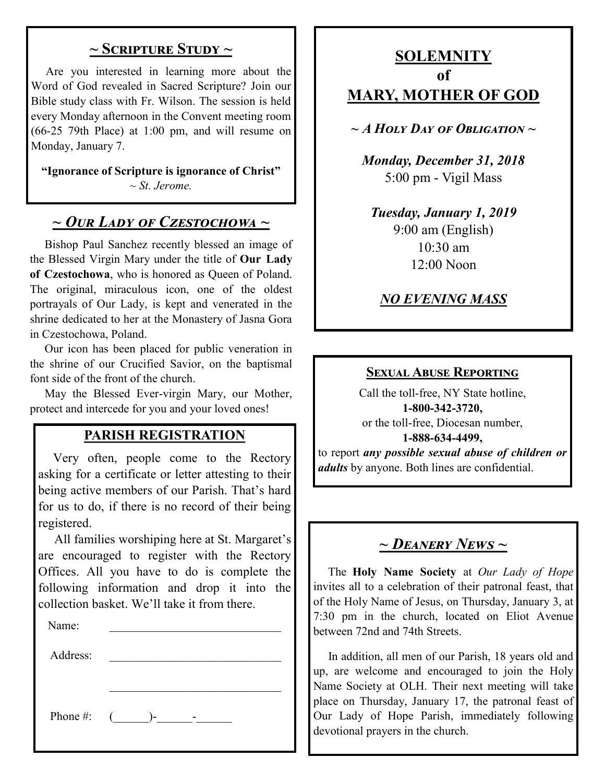#### **~ Scripture Study ~**

 Are you interested in learning more about the Word of God revealed in Sacred Scripture? Join our Bible study class with Fr. Wilson. The session is held every Monday afternoon in the Convent meeting room (66-25 79th Place) at 1:00 pm, and will resume on Monday, January 7.

**"Ignorance of Scripture is ignorance of Christ"** *~ St. Jerome.*

## *~ Our Lady of Czestochowa ~*

 Bishop Paul Sanchez recently blessed an image of the Blessed Virgin Mary under the title of **Our Lady of Czestochowa**, who is honored as Queen of Poland. The original, miraculous icon, one of the oldest portrayals of Our Lady, is kept and venerated in the shrine dedicated to her at the Monastery of Jasna Gora in Czestochowa, Poland.

 Our icon has been placed for public veneration in the shrine of our Crucified Savior, on the baptismal font side of the front of the church.

 May the Blessed Ever-virgin Mary, our Mother, protect and intercede for you and your loved ones!

#### **PARISH REGISTRATION**

 Very often, people come to the Rectory asking for a certificate or letter attesting to their being active members of our Parish. That's hard for us to do, if there is no record of their being registered.

 All families worshiping here at St. Margaret's are encouraged to register with the Rectory Offices. All you have to do is complete the following information and drop it into the collection basket. We'll take it from there.

| -------  |    |  |  |  |
|----------|----|--|--|--|
| Name:    |    |  |  |  |
|          |    |  |  |  |
| Address: |    |  |  |  |
|          |    |  |  |  |
|          |    |  |  |  |
| Phone #: | )- |  |  |  |

## **SOLEMNITY of MARY, MOTHER OF GOD**

*~ A Holy Day of Obligation ~*

*Monday, December 31, 2018* 5:00 pm - Vigil Mass

*Tuesday, January 1, 2019* 9:00 am (English) 10:30 am 12:00 Noon

## *NO EVENING MASS*

#### **Sexual Abuse Reporting**

Call the toll-free, NY State hotline, **1-800-342-3720,** or the toll-free, Diocesan number, **1-888-634-4499,** to report *any possible sexual abuse of children or adults* by anyone. Both lines are confidential.

# *~ Deanery News ~*

 The **Holy Name Society** at *Our Lady of Hope*  invites all to a celebration of their patronal feast, that of the Holy Name of Jesus, on Thursday, January 3, at 7:30 pm in the church, located on Eliot Avenue between 72nd and 74th Streets.

 In addition, all men of our Parish, 18 years old and up, are welcome and encouraged to join the Holy Name Society at OLH. Their next meeting will take place on Thursday, January 17, the patronal feast of Our Lady of Hope Parish, immediately following devotional prayers in the church.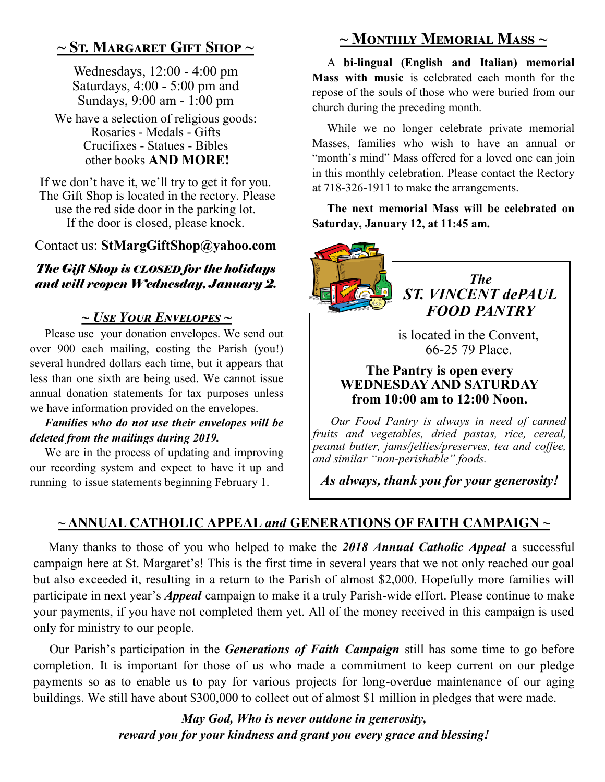## **~ St. Margaret Gift Shop ~**

Wednesdays, 12:00 - 4:00 pm Saturdays, 4:00 - 5:00 pm and Sundays, 9:00 am - 1:00 pm

We have a selection of religious goods: Rosaries - Medals - Gifts Crucifixes - Statues - Bibles other books **AND MORE!**

If we don't have it, we'll try to get it for you. The Gift Shop is located in the rectory. Please use the red side door in the parking lot. If the door is closed, please knock.

#### Contact us: **StMargGiftShop@yahoo.com**

#### *The Gift Shop is CLOSED for the holidays and will reopen Wednesday, January 2.*

#### *~ Use Your Envelopes ~*

 Please use your donation envelopes. We send out over 900 each mailing, costing the Parish (you!) several hundred dollars each time, but it appears that less than one sixth are being used. We cannot issue annual donation statements for tax purposes unless we have information provided on the envelopes.

#### *Families who do not use their envelopes will be deleted from the mailings during 2019.*

 We are in the process of updating and improving our recording system and expect to have it up and running to issue statements beginning February 1.

# **~ Monthly Memorial Mass ~**

 A **bi-lingual (English and Italian) memorial Mass with music** is celebrated each month for the repose of the souls of those who were buried from our church during the preceding month.

 While we no longer celebrate private memorial Masses, families who wish to have an annual or "month's mind" Mass offered for a loved one can join in this monthly celebration. Please contact the Rectory at 718-326-1911 to make the arrangements.

 **The next memorial Mass will be celebrated on Saturday, January 12, at 11:45 am.**



#### **The Pantry is open every WEDNESDAY AND SATURDAY from 10:00 am to 12:00 Noon.**

 *Our Food Pantry is always in need of canned fruits and vegetables, dried pastas, rice, cereal, peanut butter, jams/jellies/preserves, tea and coffee, and similar "non-perishable" foods.*

*As always, thank you for your generosity!*

#### **~ ANNUAL CATHOLIC APPEAL** *and* **GENERATIONS OF FAITH CAMPAIGN ~**

 Many thanks to those of you who helped to make the *2018 Annual Catholic Appeal* a successful campaign here at St. Margaret's! This is the first time in several years that we not only reached our goal but also exceeded it, resulting in a return to the Parish of almost \$2,000. Hopefully more families will participate in next year's *Appeal* campaign to make it a truly Parish-wide effort. Please continue to make your payments, if you have not completed them yet. All of the money received in this campaign is used only for ministry to our people.

 Our Parish's participation in the *Generations of Faith Campaign* still has some time to go before completion. It is important for those of us who made a commitment to keep current on our pledge payments so as to enable us to pay for various projects for long-overdue maintenance of our aging buildings. We still have about \$300,000 to collect out of almost \$1 million in pledges that were made.

> *May God, Who is never outdone in generosity, reward you for your kindness and grant you every grace and blessing!*